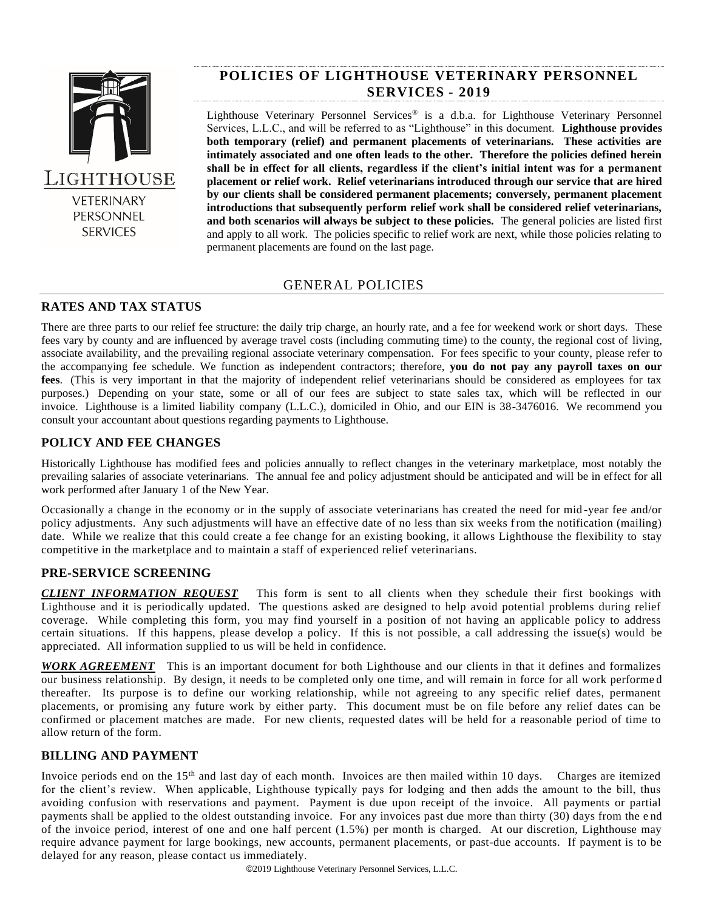

# **POLICIES OF LIGHTHOUSE VETERINARY PERSONNEL SERVICES - 2019**

Lighthouse Veterinary Personnel Services® is a d.b.a. for Lighthouse Veterinary Personnel Services, L.L.C., and will be referred to as "Lighthouse" in this document. **Lighthouse provides both temporary (relief) and permanent placements of veterinarians. These activities are intimately associated and one often leads to the other. Therefore the policies defined herein shall be in effect for all clients, regardless if the client's initial intent was for a permanent placement or relief work. Relief veterinarians introduced through our service that are hired by our clients shall be considered permanent placements; conversely, permanent placement introductions that subsequently perform relief work shall be considered relief veterinarians, and both scenarios will always be subject to these policies.** The general policies are listed first and apply to all work. The policies specific to relief work are next, while those policies relating to permanent placements are found on the last page.

# GENERAL POLICIES

# **RATES AND TAX STATUS**

There are three parts to our relief fee structure: the daily trip charge, an hourly rate, and a fee for weekend work or short days. These fees vary by county and are influenced by average travel costs (including commuting time) to the county, the regional cost of living, associate availability, and the prevailing regional associate veterinary compensation. For fees specific to your county, please refer to the accompanying fee schedule. We function as independent contractors; therefore, **you do not pay any payroll taxes on our fees**. (This is very important in that the majority of independent relief veterinarians should be considered as employees for tax purposes.) Depending on your state, some or all of our fees are subject to state sales tax, which will be reflected in our invoice. Lighthouse is a limited liability company (L.L.C.), domiciled in Ohio, and our EIN is 38-3476016. We recommend you consult your accountant about questions regarding payments to Lighthouse.

# **POLICY AND FEE CHANGES**

Historically Lighthouse has modified fees and policies annually to reflect changes in the veterinary marketplace, most notably the prevailing salaries of associate veterinarians. The annual fee and policy adjustment should be anticipated and will be in effect for all work performed after January 1 of the New Year.

Occasionally a change in the economy or in the supply of associate veterinarians has created the need for mid -year fee and/or policy adjustments. Any such adjustments will have an effective date of no less than six weeks from the notification (mailing) date. While we realize that this could create a fee change for an existing booking, it allows Lighthouse the flexibility to stay competitive in the marketplace and to maintain a staff of experienced relief veterinarians.

### **PRE-SERVICE SCREENING**

*CLIENT INFORMATION REQUEST* This form is sent to all clients when they schedule their first bookings with Lighthouse and it is periodically updated. The questions asked are designed to help avoid potential problems during relief coverage. While completing this form, you may find yourself in a position of not having an applicable policy to address certain situations. If this happens, please develop a policy. If this is not possible, a call addressing the issue(s) would be appreciated. All information supplied to us will be held in confidence.

*WORK AGREEMENT* This is an important document for both Lighthouse and our clients in that it defines and formalizes our business relationship. By design, it needs to be completed only one time, and will remain in force for all work performe d thereafter. Its purpose is to define our working relationship, while not agreeing to any specific relief dates, permanent placements, or promising any future work by either party. This document must be on file before any relief dates can be confirmed or placement matches are made. For new clients, requested dates will be held for a reasonable period of time to allow return of the form.

# **BILLING AND PAYMENT**

Invoice periods end on the 15<sup>th</sup> and last day of each month. Invoices are then mailed within 10 days. Charges are itemized for the client's review. When applicable, Lighthouse typically pays for lodging and then adds the amount to the bill, thus avoiding confusion with reservations and payment. Payment is due upon receipt of the invoice. All payments or partial payments shall be applied to the oldest outstanding invoice. For any invoices past due more than thirty (30) days from the e nd of the invoice period, interest of one and one half percent (1.5%) per month is charged. At our discretion, Lighthouse may require advance payment for large bookings, new accounts, permanent placements, or past-due accounts. If payment is to be delayed for any reason, please contact us immediately.

©2019 Lighthouse Veterinary Personnel Services, L.L.C.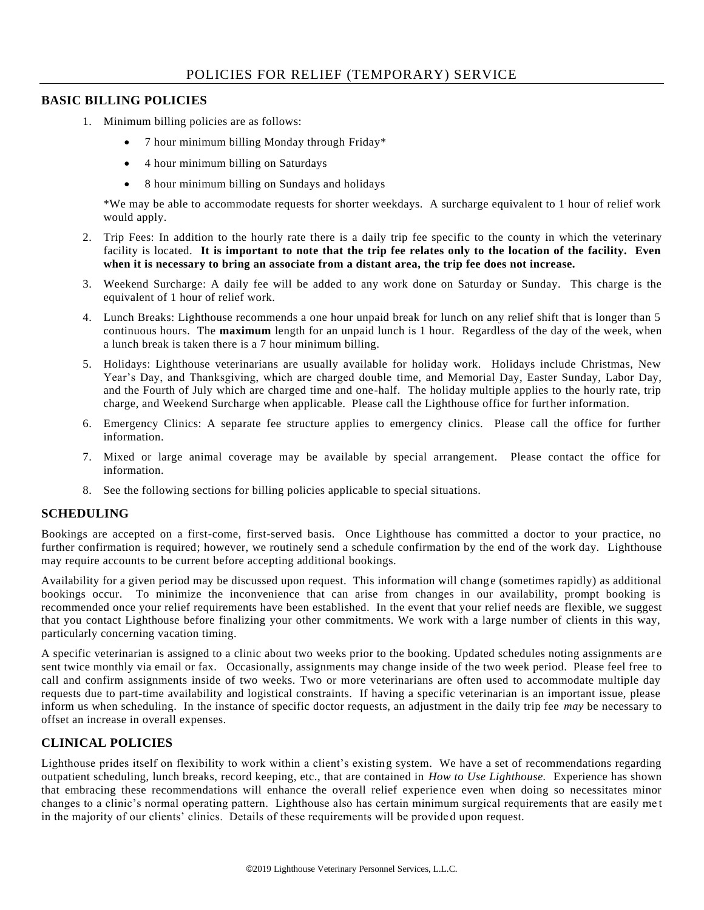### **BASIC BILLING POLICIES**

- 1. Minimum billing policies are as follows:
	- 7 hour minimum billing Monday through Friday\*
	- 4 hour minimum billing on Saturdays
	- 8 hour minimum billing on Sundays and holidays

\*We may be able to accommodate requests for shorter weekdays. A surcharge equivalent to 1 hour of relief work would apply.

- 2. Trip Fees: In addition to the hourly rate there is a daily trip fee specific to the county in which the veterinary facility is located. **It is important to note that the trip fee relates only to the location of the facility. Even when it is necessary to bring an associate from a distant area, the trip fee does not increase.**
- 3. Weekend Surcharge: A daily fee will be added to any work done on Saturday or Sunday. This charge is the equivalent of 1 hour of relief work.
- 4. Lunch Breaks: Lighthouse recommends a one hour unpaid break for lunch on any relief shift that is longer than 5 continuous hours. The **maximum** length for an unpaid lunch is 1 hour. Regardless of the day of the week, when a lunch break is taken there is a 7 hour minimum billing.
- 5. Holidays: Lighthouse veterinarians are usually available for holiday work. Holidays include Christmas, New Year's Day, and Thanksgiving, which are charged double time, and Memorial Day, Easter Sunday, Labor Day, and the Fourth of July which are charged time and one-half. The holiday multiple applies to the hourly rate, trip charge, and Weekend Surcharge when applicable. Please call the Lighthouse office for furt her information.
- 6. Emergency Clinics: A separate fee structure applies to emergency clinics. Please call the office for further information.
- 7. Mixed or large animal coverage may be available by special arrangement. Please contact the office for information.
- 8. See the following sections for billing policies applicable to special situations.

#### **SCHEDULING**

Bookings are accepted on a first-come, first-served basis. Once Lighthouse has committed a doctor to your practice, no further confirmation is required; however, we routinely send a schedule confirmation by the end of the work day. Lighthouse may require accounts to be current before accepting additional bookings.

Availability for a given period may be discussed upon request. This information will chang e (sometimes rapidly) as additional bookings occur. To minimize the inconvenience that can arise from changes in our availability, prompt booking is recommended once your relief requirements have been established. In the event that your relief needs are flexible, we suggest that you contact Lighthouse before finalizing your other commitments. We work with a large number of clients in this way, particularly concerning vacation timing.

A specific veterinarian is assigned to a clinic about two weeks prior to the booking. Updated schedules noting assignments ar e sent twice monthly via email or fax. Occasionally, assignments may change inside of the two week period. Please feel free to call and confirm assignments inside of two weeks. Two or more veterinarians are often used to accommodate multiple day requests due to part-time availability and logistical constraints. If having a specific veterinarian is an important issue, please inform us when scheduling. In the instance of specific doctor requests, an adjustment in the daily trip fee *may* be necessary to offset an increase in overall expenses.

# **CLINICAL POLICIES**

Lighthouse prides itself on flexibility to work within a client's existing system. We have a set of recommendations regarding outpatient scheduling, lunch breaks, record keeping, etc., that are contained in *How to Use Lighthouse.* Experience has shown that embracing these recommendations will enhance the overall relief experience even when doing so necessitates minor changes to a clinic's normal operating pattern. Lighthouse also has certain minimum surgical requirements that are easily me t in the majority of our clients' clinics. Details of these requirements will be provide d upon request.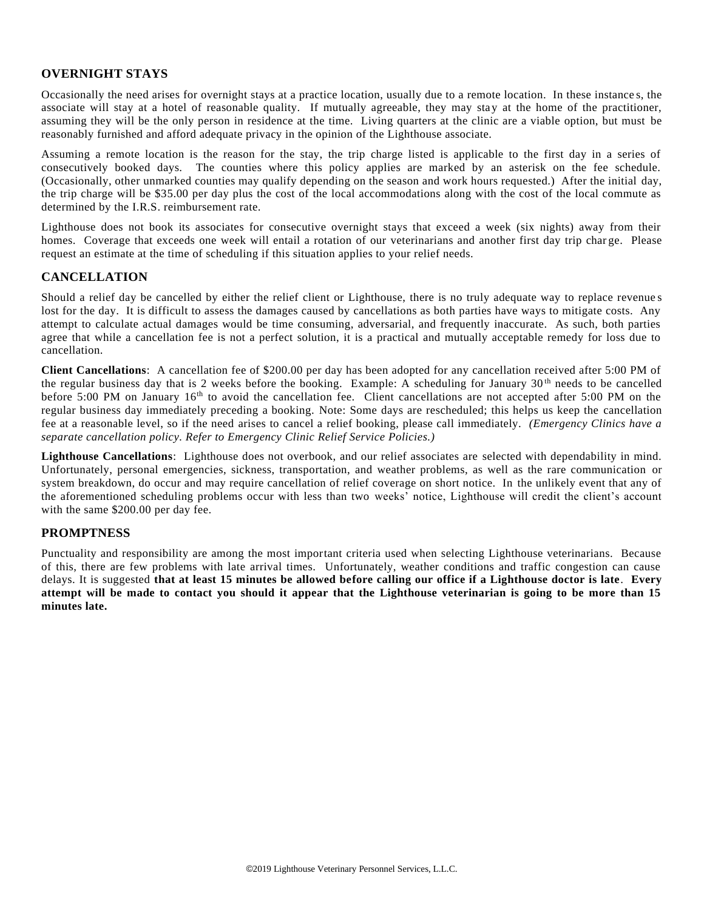### **OVERNIGHT STAYS**

Occasionally the need arises for overnight stays at a practice location, usually due to a remote location. In these instance s, the associate will stay at a hotel of reasonable quality. If mutually agreeable, they may stay at the home of the practitioner, assuming they will be the only person in residence at the time. Living quarters at the clinic are a viable option, but must be reasonably furnished and afford adequate privacy in the opinion of the Lighthouse associate.

Assuming a remote location is the reason for the stay, the trip charge listed is applicable to the first day in a series of consecutively booked days. The counties where this policy applies are marked by an asterisk on the fee schedule. (Occasionally, other unmarked counties may qualify depending on the season and work hours requested.) After the initial day, the trip charge will be \$35.00 per day plus the cost of the local accommodations along with the cost of the local commute as determined by the I.R.S. reimbursement rate.

Lighthouse does not book its associates for consecutive overnight stays that exceed a week (six nights) away from their homes. Coverage that exceeds one week will entail a rotation of our veterinarians and another first day trip char ge. Please request an estimate at the time of scheduling if this situation applies to your relief needs.

#### **CANCELLATION**

Should a relief day be cancelled by either the relief client or Lighthouse, there is no truly adequate way to replace revenue s lost for the day. It is difficult to assess the damages caused by cancellations as both parties have ways to mitigate costs. Any attempt to calculate actual damages would be time consuming, adversarial, and frequently inaccurate. As such, both parties agree that while a cancellation fee is not a perfect solution, it is a practical and mutually acceptable remedy for loss due to cancellation.

**Client Cancellations**: A cancellation fee of \$200.00 per day has been adopted for any cancellation received after 5:00 PM of the regular business day that is 2 weeks before the booking. Example: A scheduling for January 30<sup>th</sup> needs to be cancelled before 5:00 PM on January 16<sup>th</sup> to avoid the cancellation fee. Client cancellations are not accepted after 5:00 PM on the regular business day immediately preceding a booking. Note: Some days are rescheduled; this helps us keep the cancellation fee at a reasonable level, so if the need arises to cancel a relief booking, please call immediately. *(Emergency Clinics have a separate cancellation policy. Refer to Emergency Clinic Relief Service Policies.)*

**Lighthouse Cancellations**: Lighthouse does not overbook, and our relief associates are selected with dependability in mind. Unfortunately, personal emergencies, sickness, transportation, and weather problems, as well as the rare communication or system breakdown, do occur and may require cancellation of relief coverage on short notice. In the unlikely event that any of the aforementioned scheduling problems occur with less than two weeks' notice, Lighthouse will credit the client's account with the same \$200.00 per day fee.

#### **PROMPTNESS**

Punctuality and responsibility are among the most important criteria used when selecting Lighthouse veterinarians. Because of this, there are few problems with late arrival times. Unfortunately, weather conditions and traffic congestion can cause delays. It is suggested **that at least 15 minutes be allowed before calling our office if a Lighthouse doctor is late**. **Every attempt will be made to contact you should it appear that the Lighthouse veterinarian is going to be more than 15 minutes late.**